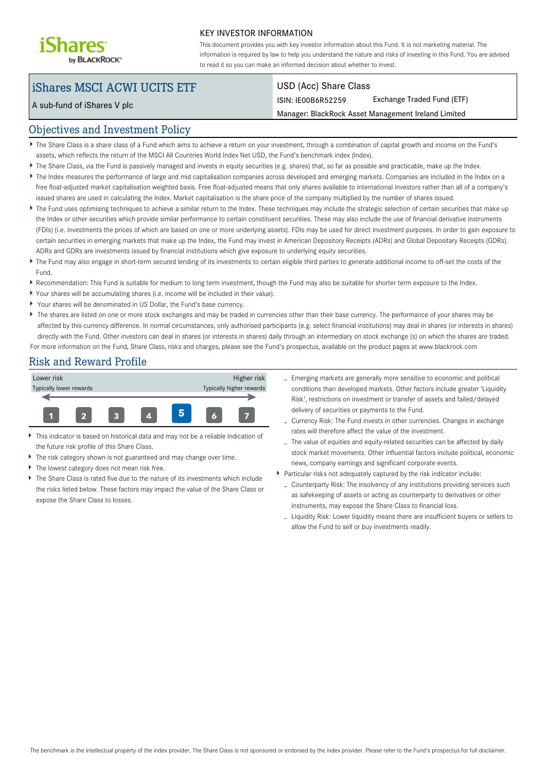

#### KEY INVESTOR INFORMATION

This document provides you with key investor information about this Fund. It is not marketing material. The information is required by law to help you understand the nature and risks of investing in this Fund. You are advised to read it so you can make an informed decision about whether to invest.

# iShares MSCI ACWI UCITS ETF

A sub-fund of iShares V plc

### USD (Acc) Share Class

ISIN: IE00B6R52259 Exchange Traded Fund (ETF)

Manager: BlackRock Asset Management Ireland Limited

### Objectives and Investment Policy

- The Share Class is a share class of a Fund which aims to achieve a return on your investment, through a combination of capital growth and income on the Fund's assets, which reflects the return of the MSCI All Countries World Index Net USD, the Fund's benchmark index (Index).
- The Share Class, via the Fund is passively managed and invests in equity securities (e.g. shares) that, so far as possible and practicable, make up the Index.
- The Index measures the performance of large and mid capitalisation companies across developed and emerging markets. Companies are included in the Index on a free float-adjusted market capitalisation weighted basis. Free float-adjusted means that only shares available to international investors rather than all of a company's issued shares are used in calculating the Index. Market capitalisation is the share price of the company multiplied by the number of shares issued.
- ▶ The Fund uses optimising techniques to achieve a similar return to the Index. These techniques may include the strategic selection of certain securities that make up the Index or other securities which provide similar performance to certain constituent securities. These may also include the use of financial derivative instruments (FDIs) (i.e. investments the prices of which are based on one or more underlying assets). FDIs may be used for direct investment purposes. In order to gain exposure to certain securities in emerging markets that make up the Index, the Fund may invest in American Depository Receipts (ADRs) and Global Depositary Receipts (GDRs). ADRs and GDRs are investments issued by financial institutions which give exposure to underlying equity securities.
- The Fund may also engage in short-term secured lending of its investments to certain eligible third parties to generate additional income to off-set the costs of the Fund.
- Recommendation: This Fund is suitable for medium to long term investment, though the Fund may also be suitable for shorter term exposure to the Index.
- Your shares will be accumulating shares (i.e. income will be included in their value).
- Your shares will be denominated in US Dollar, the Fund's base currency.
- The shares are listed on one or more stock exchanges and may be traded in currencies other than their base currency. The performance of your shares may be affected by this currency difference. In normal circumstances, only authorised participants (e.g. select financial institutions) may deal in shares (or interests in shares) directly with the Fund. Other investors can deal in shares (or interests in shares) daily through an intermediary on stock exchange (s) on which the shares are traded. For more information on the Fund, Share Class, risks and charges, please see the Fund's prospectus, available on the product pages at www.blackrock.com

# Risk and Reward Profile



- This indicator is based on historical data and may not be a reliable indication of the future risk profile of this Share Class.
- The risk category shown is not guaranteed and may change over time.
- The lowest category does not mean risk free.
- The Share Class is rated five due to the nature of its investments which include the risks listed below. These factors may impact the value of the Share Class or expose the Share Class to losses.
- Emerging markets are generally more sensitive to economic and political conditions than developed markets. Other factors include greater 'Liquidity Risk', restrictions on investment or transfer of assets and failed/delayed delivery of securities or payments to the Fund.
- Currency Risk: The Fund invests in other currencies. Changes in exchange rates will therefore affect the value of the investment.
- The value of equities and equity-related securities can be affected by daily stock market movements. Other influential factors include political, economic news, company earnings and significant corporate events.
- Particular risks not adequately captured by the risk indicator include:
	- Counterparty Risk: The insolvency of any institutions providing services such as safekeeping of assets or acting as counterparty to derivatives or other instruments, may expose the Share Class to financial loss.
	- Liquidity Risk: Lower liquidity means there are insufficient buyers or sellers to allow the Fund to sell or buy investments readily.